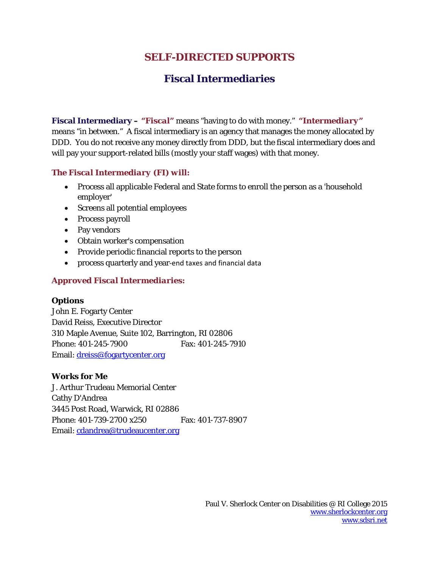# **SELF-DIRECTED SUPPORTS**

# **Fiscal Intermediaries**

**Fiscal Intermediary –** *"Fiscal"* means "having to do with money." *"Intermediary"* means "in between." A fiscal intermediary is an agency that manages the money allocated by DDD. You do not receive any money directly from DDD, but the fiscal intermediary does and will pay your support-related bills (mostly your staff wages) with that money.

## *The Fiscal Intermediary (FI) will:*

- Process all applicable Federal and State forms to enroll the person as a 'household employer'
- Screens all potential employees
- Process payroll
- Pay vendors
- Obtain worker's compensation
- Provide periodic financial reports to the person
- process quarterly and year-end taxes and financial data

## *Approved Fiscal Intermediaries:*

#### **Options**

John E. Fogarty Center David Reiss, Executive Director 310 Maple Avenue, Suite 102, Barrington, RI 02806 Phone: 401-245-7900 Fax: 401-245-7910 Email: dreiss@fogartycenter.org

## **Works for Me**

J. Arthur Trudeau Memorial Center Cathy D'Andrea 3445 Post Road, Warwick, RI 02886 Phone: 401-739-2700 x250 Fax: 401-737-8907 Email: cdandrea@trudeaucenter.org